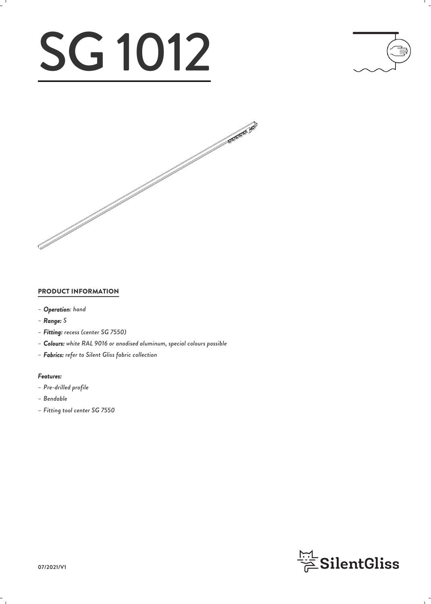# SG 1012





# PRODUCT INFORMATION

- *– Operation: hand*
- *– Range: S*
- *– Fitting: recess (center SG 7550)*
- *– Colours: white RAL 9016 or anodised aluminum, special colours possible*
- *– Fabrics: refer to Silent Gliss fabric collection*

## *Features:*

- *– Pre-drilled profile*
- *– Bendable*
- *– Fitting tool center SG 7550*

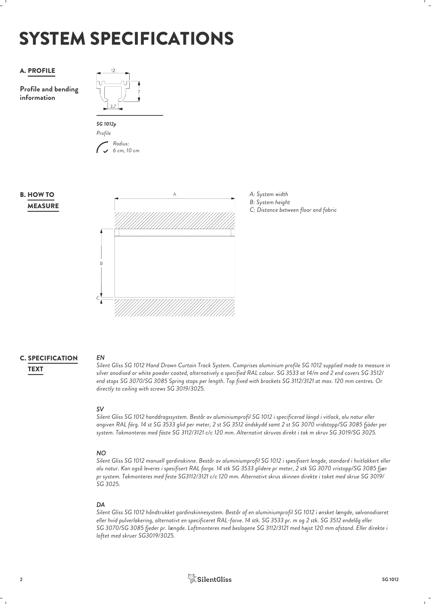# SYSTEM SPECIFICATIONS

# A. PROFILE

**Profile and bending information**



*SG 1012p Profile Radius: 6 cm, 10 cm*







# **C. SPECIFICATION** EN

*EN Silent Gliss SG 1012 Hand Drawn Curtain Track System. Comprises aluminium profile SG 1012 supplied made to measure in silver anodised or white powder coated, alternatively a specified RAL colour. SG 3533 at 14/m and 2 end covers SG 3512/* TEXT *end stops SG 3070/SG 3085 Spring stops per length. Top fixed with brackets SG 3112/3121 at max. 120 mm centres. Or directly to ceiling with screws SG 3019/3025.*

# *SV*

*Silent Gliss SG 1012 handdragssystem. Består av aluminiumprofil SG 1012 i specificerad längd i vitlack, alu natur eller angiven RAL färg. 14 st SG 3533 glid per meter, 2 st SG 3512 ändskydd samt 2 st SG 3070 vridstopp/SG 3085 fjäder per system. Takmonteras med fäste SG 3112/3121 c/c 120 mm. Alternativt skruvas direkt i tak m skruv SG 3019/SG 3025.*

## *NO*

*Silent Gliss SG 1012 manuell gardinskinne. Består av aluminiumprofil SG 1012 i spesifisert lengde, standard i hvitlakkert eller alu natur. Kan også leveres i spesifisert RAL farge. 14 stk SG 3533 glidere pr meter, 2 stk SG 3070 vristopp/SG 3085 fjær pr system. Takmonteres med feste SG3112/3121 c/c 120 mm. Alternativt skrus skinnen direkte i taket med skrue SG 3019/ SG 3025.*

# *DA*

*Silent Gliss SG 1012 håndtrukket gardinskinnesystem. Består af en aluminiumprofil SG 1012 i ønsket længde, sølvanodiseret eller hvid pulverlakering, alternativt en specificeret RAL-farve. 14 stk. SG 3533 pr. m og 2 stk. SG 3512 endelåg eller SG 3070/SG 3085 fjeder pr. længde. Loftmonteres med beslagene SG 3112/3121 med højst 120 mm afstand. Eller direkte i loftet med skruer SG3019/3025.*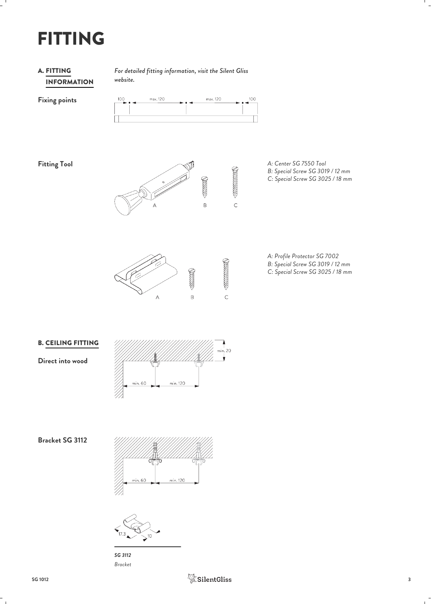# FITTING

# INFORMATION **A. FITTING**

*For detailed fitting information, visit the Silent Gliss* FITTING *website.*

max. 120

**ANGELOROPOOL** 

 $\mathsf C$ 

 $100$ 

Fixing points 100 max.120



*B: Special Screw SG 3019 / 12 mm C: Special Screw SG 3025 / 18 mm*

**CONSCRUTE**  $\overline{B}$  $\overline{A}$ 

*A: Profile Protector SG 7002*

*B: Special Screw SG 3019 / 12 mm*

*C: Special Screw SG 3025 / 18 mm*

**Direct into wood**



**Bracket SG 3112**





*SG 3112 Bracket*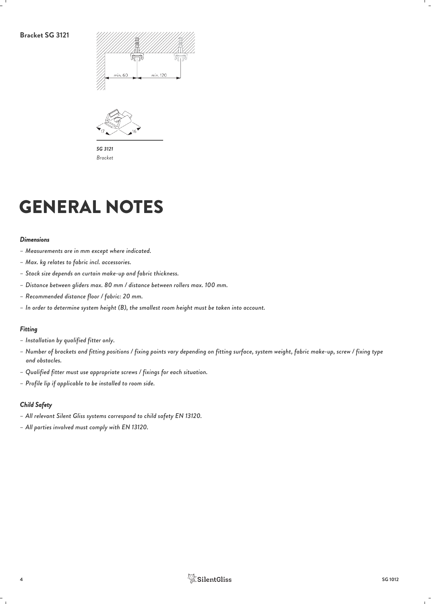**Bracket SG 3121**





*SG 3121 Bracket*

# GENERAL NOTES

## *Dimensions*

- *– Measurements are in mm except where indicated.*
- *– Max. kg relates to fabric incl. accessories.*
- *– Stack size depends on curtain make-up and fabric thickness.*
- *– Distance between gliders max. 80 mm / distance between rollers max. 100 mm.*
- *– Recommended distance floor / fabric: 20 mm.*
- *– In order to determine system height (B), the smallest room height must be taken into account.*

## *Fitting*

- *– Installation by qualified fitter only.*
- *– Number of brackets and fitting positions / fixing points vary depending on fitting surface, system weight, fabric make-up, screw / fixing type and obstacles.*
- *– Qualified fitter must use appropriate screws / fixings for each situation.*
- *– Profile lip if applicable to be installed to room side.*

# *Child Safety*

- *– All relevant Silent Gliss systems correspond to child safety EN 13120.*
- *– All parties involved must comply with EN 13120.*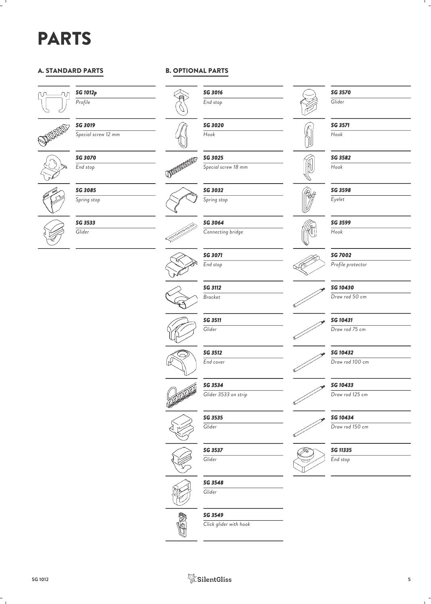# PARTS

# A. STANDARD PARTS

# *SG 1012p Profile*

*SG 3019 Special screw 12 mm*



*End stop*

*SG 3085 Spring stop*



*SG 3533 Glider*



*SG 3016 End stop*

*SG 3020 Hook*

*SG 3032 Spring stop*

*SG 3064 Connecting bridge*

*SG 3071 End stop*

*SG 3112 Bracket*

*SG 3511 Glider*

*SG 3512 End cover*

*SG 3534*

*SG 3535 Glider*

*Glider*

*SG 3548 Glider*

*Glider 3533 on strip*

*Special screw 18 mm*

























# *SG 3549*

*Click glider with hook*



**SG 3025**<br>
Seguid sergy <sup>19</sup> mm







*Hook*

*SG 3582 Hook*

*SG 3598 Eyelet*



*SG 7002*

*Profile protector*

*SG 10430*

*Draw rod 50 cm*



*Draw rod 75 cm*

# *SG 10432*

*Draw rod 100 cm*

# *SG 10433*

*Draw rod 125 cm*

*SG 10434*

*Draw rod 150 cm*



*SG 11335*



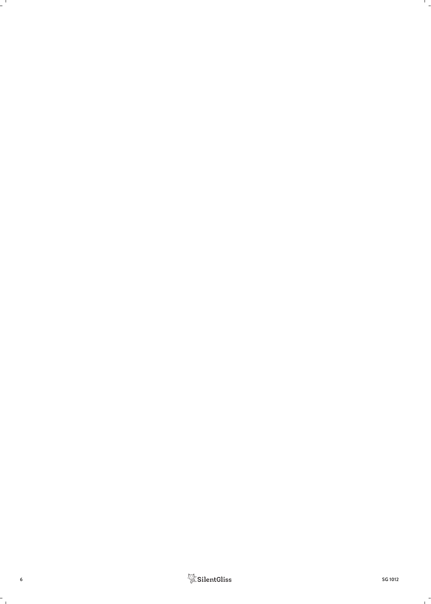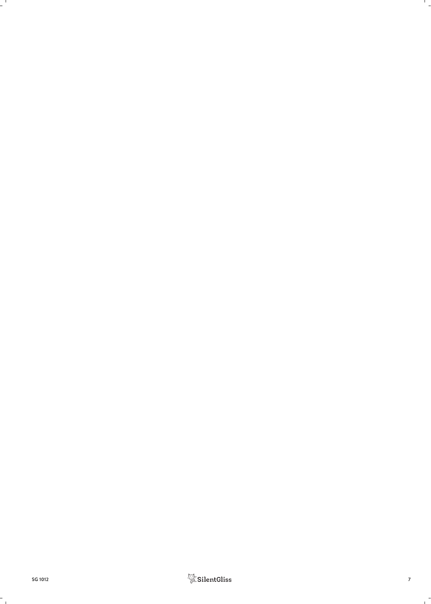